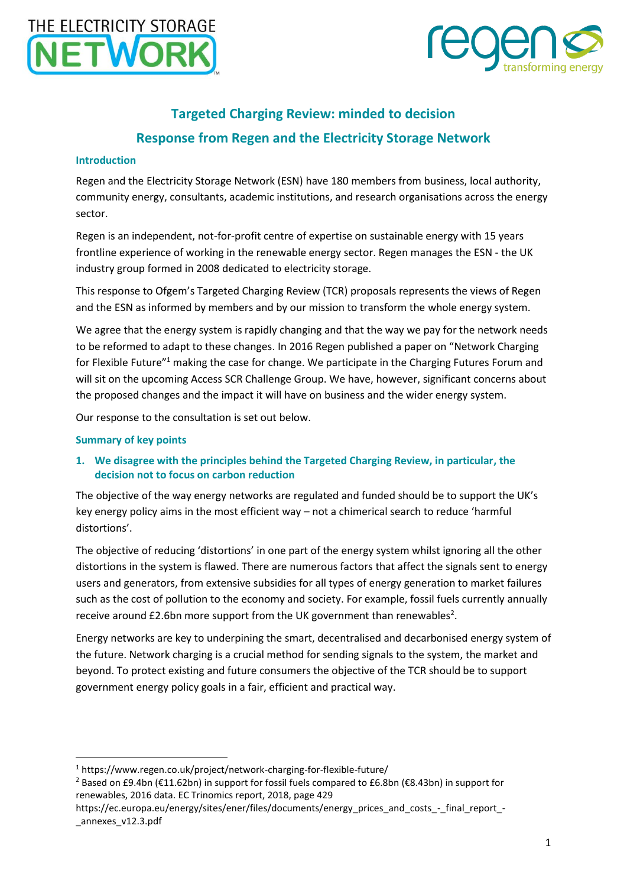

# **Targeted Charging Review: minded to decision Response from Regen and the Electricity Storage Network**

### **Introduction**

Regen and the Electricity Storage Network (ESN) have 180 members from business, local authority, community energy, consultants, academic institutions, and research organisations across the energy sector.

Regen is an independent, not-for-profit centre of expertise on sustainable energy with 15 years frontline experience of working in the renewable energy sector. Regen manages the ESN - the UK industry group formed in 2008 dedicated to electricity storage.

This response to Ofgem's Targeted Charging Review (TCR) proposals represents the views of Regen and the ESN as informed by members and by our mission to transform the whole energy system.

We agree that the energy system is rapidly changing and that the way we pay for the network needs to be reformed to adapt to these changes. In 2016 Regen published a paper on "Network Charging for Flexible Future"<sup>1</sup> making the case for change. We participate in the Charging Futures Forum and will sit on the upcoming Access SCR Challenge Group. We have, however, significant concerns about the proposed changes and the impact it will have on business and the wider energy system.

Our response to the consultation is set out below.

### **Summary of key points**

**.** 

### **1. We disagree with the principles behind the Targeted Charging Review, in particular, the decision not to focus on carbon reduction**

The objective of the way energy networks are regulated and funded should be to support the UK's key energy policy aims in the most efficient way – not a chimerical search to reduce 'harmful distortions'.

The objective of reducing 'distortions' in one part of the energy system whilst ignoring all the other distortions in the system is flawed. There are numerous factors that affect the signals sent to energy users and generators, from extensive subsidies for all types of energy generation to market failures such as the cost of pollution to the economy and society. For example, fossil fuels currently annually receive around  $£2.6$ bn more support from the UK government than renewables<sup>2</sup>.

Energy networks are key to underpining the smart, decentralised and decarbonised energy system of the future. Network charging is a crucial method for sending signals to the system, the market and beyond. To protect existing and future consumers the objective of the TCR should be to support government energy policy goals in a fair, efficient and practical way.

<sup>1</sup> https://www.regen.co.uk/project/network-charging-for-flexible-future/

<sup>2</sup> Based on £9.4bn (€11.62bn) in support for fossil fuels compared to £6.8bn (€8.43bn) in support for renewables, 2016 data. EC Trinomics report, 2018, page 429

https://ec.europa.eu/energy/sites/ener/files/documents/energy\_prices\_and\_costs\_-\_final\_report\_- \_annexes\_v12.3.pdf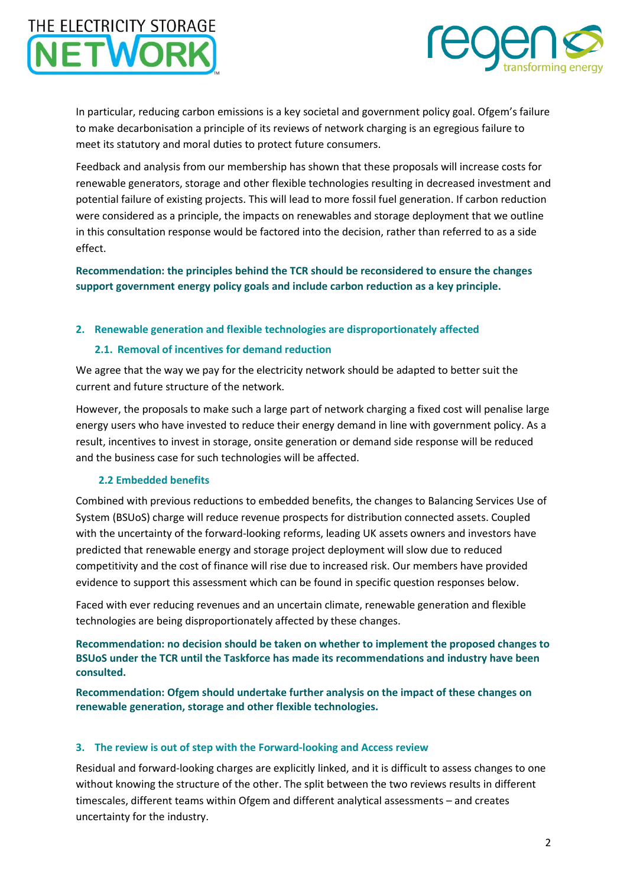

In particular, reducing carbon emissions is a key societal and government policy goal. Ofgem's failure to make decarbonisation a principle of its reviews of network charging is an egregious failure to meet its statutory and moral duties to protect future consumers.

Feedback and analysis from our membership has shown that these proposals will increase costs for renewable generators, storage and other flexible technologies resulting in decreased investment and potential failure of existing projects. This will lead to more fossil fuel generation. If carbon reduction were considered as a principle, the impacts on renewables and storage deployment that we outline in this consultation response would be factored into the decision, rather than referred to as a side effect.

**Recommendation: the principles behind the TCR should be reconsidered to ensure the changes support government energy policy goals and include carbon reduction as a key principle.**

### **2. Renewable generation and flexible technologies are disproportionately affected**

### **2.1. Removal of incentives for demand reduction**

We agree that the way we pay for the electricity network should be adapted to better suit the current and future structure of the network.

However, the proposals to make such a large part of network charging a fixed cost will penalise large energy users who have invested to reduce their energy demand in line with government policy. As a result, incentives to invest in storage, onsite generation or demand side response will be reduced and the business case for such technologies will be affected.

### **2.2 Embedded benefits**

Combined with previous reductions to embedded benefits, the changes to Balancing Services Use of System (BSUoS) charge will reduce revenue prospects for distribution connected assets. Coupled with the uncertainty of the forward-looking reforms, leading UK assets owners and investors have predicted that renewable energy and storage project deployment will slow due to reduced competitivity and the cost of finance will rise due to increased risk. Our members have provided evidence to support this assessment which can be found in specific question responses below.

Faced with ever reducing revenues and an uncertain climate, renewable generation and flexible technologies are being disproportionately affected by these changes.

**Recommendation: no decision should be taken on whether to implement the proposed changes to BSUoS under the TCR until the Taskforce has made its recommendations and industry have been consulted.**

**Recommendation: Ofgem should undertake further analysis on the impact of these changes on renewable generation, storage and other flexible technologies.**

#### **3. The review is out of step with the Forward-looking and Access review**

Residual and forward-looking charges are explicitly linked, and it is difficult to assess changes to one without knowing the structure of the other. The split between the two reviews results in different timescales, different teams within Ofgem and different analytical assessments – and creates uncertainty for the industry.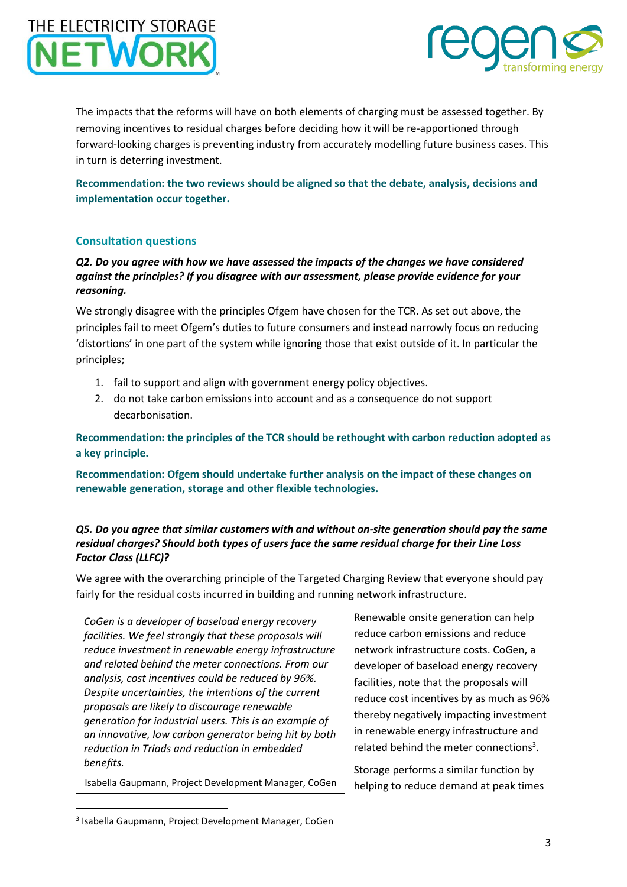

The impacts that the reforms will have on both elements of charging must be assessed together. By removing incentives to residual charges before deciding how it will be re-apportioned through forward-looking charges is preventing industry from accurately modelling future business cases. This in turn is deterring investment.

**Recommendation: the two reviews should be aligned so that the debate, analysis, decisions and implementation occur together.**

## **Consultation questions**

### *Q2. Do you agree with how we have assessed the impacts of the changes we have considered against the principles? If you disagree with our assessment, please provide evidence for your reasoning.*

We strongly disagree with the principles Ofgem have chosen for the TCR. As set out above, the principles fail to meet Ofgem's duties to future consumers and instead narrowly focus on reducing 'distortions' in one part of the system while ignoring those that exist outside of it. In particular the principles;

- 1. fail to support and align with government energy policy objectives.
- 2. do not take carbon emissions into account and as a consequence do not support decarbonisation.

**Recommendation: the principles of the TCR should be rethought with carbon reduction adopted as a key principle.**

**Recommendation: Ofgem should undertake further analysis on the impact of these changes on renewable generation, storage and other flexible technologies.**

### *Q5. Do you agree that similar customers with and without on-site generation should pay the same residual charges? Should both types of users face the same residual charge for their Line Loss Factor Class (LLFC)?*

We agree with the overarching principle of the Targeted Charging Review that everyone should pay fairly for the residual costs incurred in building and running network infrastructure.

*CoGen is a developer of baseload energy recovery facilities. We feel strongly that these proposals will reduce investment in renewable energy infrastructure and related behind the meter connections. From our analysis, cost incentives could be reduced by 96%. Despite uncertainties, the intentions of the current proposals are likely to discourage renewable generation for industrial users. This is an example of an innovative, low carbon generator being hit by both reduction in Triads and reduction in embedded benefits.*

Isabella Gaupmann, Project Development Manager, CoGen

Renewable onsite generation can help reduce carbon emissions and reduce network infrastructure costs. CoGen, a developer of baseload energy recovery facilities, note that the proposals will reduce cost incentives by as much as 96% thereby negatively impacting investment in renewable energy infrastructure and related behind the meter connections<sup>3</sup>.

Storage performs a similar function by helping to reduce demand at peak times

**.** 

<sup>3</sup> Isabella Gaupmann, Project Development Manager, CoGen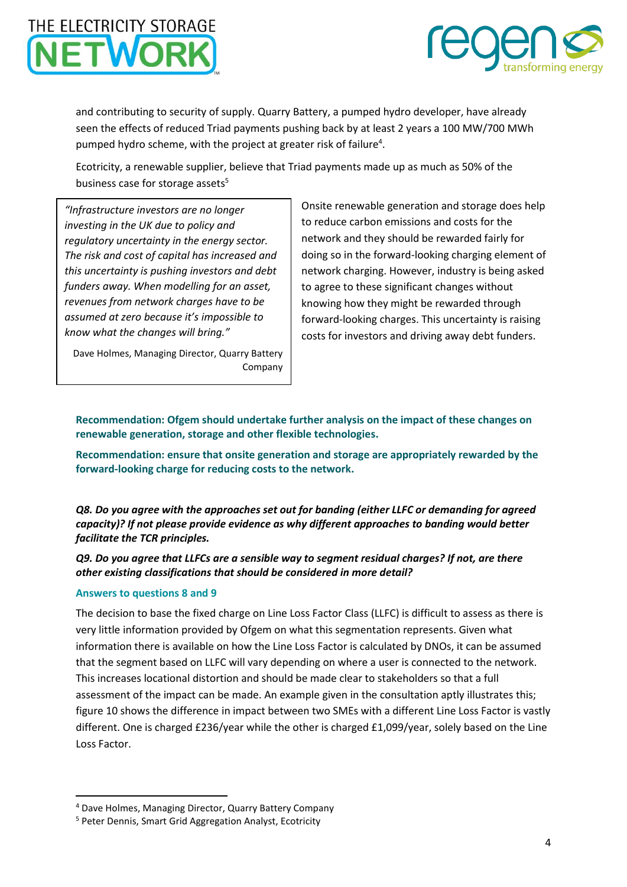

and contributing to security of supply. Quarry Battery, a pumped hydro developer, have already seen the effects of reduced Triad payments pushing back by at least 2 years a 100 MW/700 MWh pumped hydro scheme, with the project at greater risk of failure<sup>4</sup>.

Ecotricity, a renewable supplier, believe that Triad payments made up as much as 50% of the business case for storage assets<sup>5</sup>

*"Infrastructure investors are no longer investing in the UK due to policy and regulatory uncertainty in the energy sector. The risk and cost of capital has increased and this uncertainty is pushing investors and debt funders away. When modelling for an asset, revenues from network charges have to be assumed at zero because it's impossible to know what the changes will bring."*

Dave Holmes, Managing Director, Quarry Battery Company Onsite renewable generation and storage does help to reduce carbon emissions and costs for the network and they should be rewarded fairly for doing so in the forward-looking charging element of network charging. However, industry is being asked to agree to these significant changes without knowing how they might be rewarded through forward-looking charges. This uncertainty is raising costs for investors and driving away debt funders.

**Recommendation: Ofgem should undertake further analysis on the impact of these changes on renewable generation, storage and other flexible technologies.**

**Recommendation: ensure that onsite generation and storage are appropriately rewarded by the forward-looking charge for reducing costs to the network.**

*Q8. Do you agree with the approaches set out for banding (either LLFC or demanding for agreed capacity)? If not please provide evidence as why different approaches to banding would better facilitate the TCR principles.*

*Q9. Do you agree that LLFCs are a sensible way to segment residual charges? If not, are there other existing classifications that should be considered in more detail?*

#### **Answers to questions 8 and 9**

1

The decision to base the fixed charge on Line Loss Factor Class (LLFC) is difficult to assess as there is very little information provided by Ofgem on what this segmentation represents. Given what information there is available on how the Line Loss Factor is calculated by DNOs, it can be assumed that the segment based on LLFC will vary depending on where a user is connected to the network. This increases locational distortion and should be made clear to stakeholders so that a full assessment of the impact can be made. An example given in the consultation aptly illustrates this; figure 10 shows the difference in impact between two SMEs with a different Line Loss Factor is vastly different. One is charged £236/year while the other is charged £1,099/year, solely based on the Line Loss Factor.

<sup>4</sup> Dave Holmes, Managing Director, Quarry Battery Company

<sup>5</sup> Peter Dennis, Smart Grid Aggregation Analyst, Ecotricity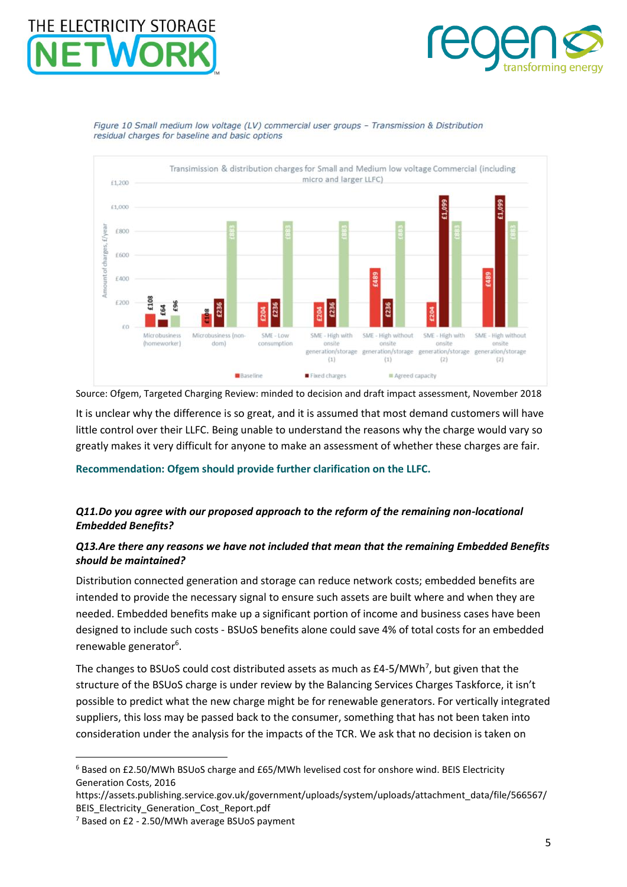

Figure 10 Small medium low voltage (LV) commercial user groups - Transmission & Distribution residual charges for baseline and basic options



Source: Ofgem, Targeted Charging Review: minded to decision and draft impact assessment, November 2018 It is unclear why the difference is so great, and it is assumed that most demand customers will have little control over their LLFC. Being unable to understand the reasons why the charge would vary so greatly makes it very difficult for anyone to make an assessment of whether these charges are fair.

#### **Recommendation: Ofgem should provide further clarification on the LLFC.**

### *Q11.Do you agree with our proposed approach to the reform of the remaining non-locational Embedded Benefits?*

### *Q13.Are there any reasons we have not included that mean that the remaining Embedded Benefits should be maintained?*

Distribution connected generation and storage can reduce network costs; embedded benefits are intended to provide the necessary signal to ensure such assets are built where and when they are needed. Embedded benefits make up a significant portion of income and business cases have been designed to include such costs - BSUoS benefits alone could save 4% of total costs for an embedded renewable generator<sup>6</sup>.

The changes to BSUoS could cost distributed assets as much as £4-5/MWh<sup>7</sup>, but given that the structure of the BSUoS charge is under review by the Balancing Services Charges Taskforce, it isn't possible to predict what the new charge might be for renewable generators. For vertically integrated suppliers, this loss may be passed back to the consumer, something that has not been taken into consideration under the analysis for the impacts of the TCR. We ask that no decision is taken on

**.** 

<sup>6</sup> Based on £2.50/MWh BSUoS charge and £65/MWh levelised cost for onshore wind. BEIS Electricity Generation Costs, 2016

https://assets.publishing.service.gov.uk/government/uploads/system/uploads/attachment\_data/file/566567/ BEIS\_Electricity\_Generation\_Cost\_Report.pdf

<sup>7</sup> Based on £2 - 2.50/MWh average BSUoS payment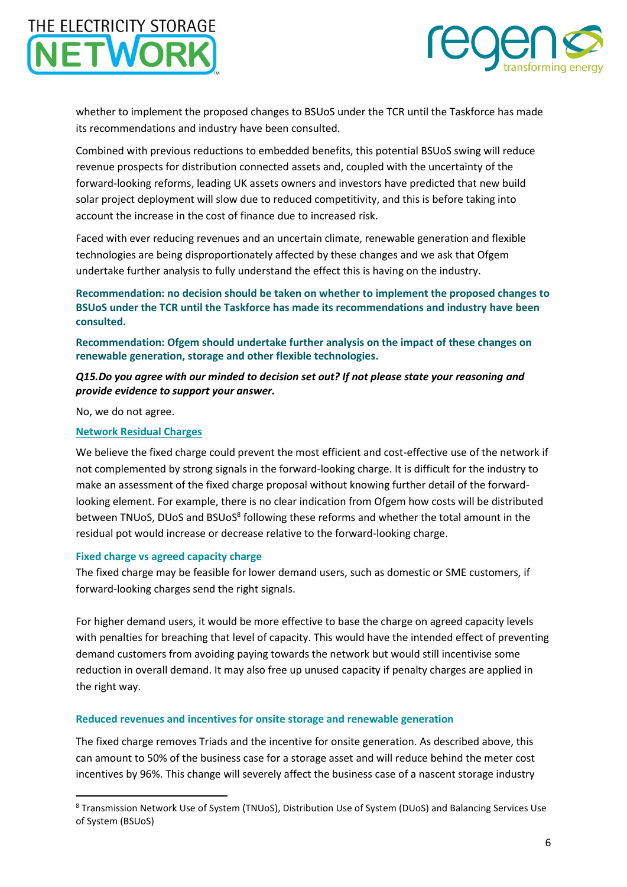

whether to implement the proposed changes to BSUoS under the TCR until the Taskforce has made its recommendations and industry have been consulted.

Combined with previous reductions to embedded benefits, this potential BSUoS swing will reduce revenue prospects for distribution connected assets and, coupled with the uncertainty of the forward-looking reforms, leading UK assets owners and investors have predicted that new build solar project deployment will slow due to reduced competitivity, and this is before taking into account the increase in the cost of finance due to increased risk.

Faced with ever reducing revenues and an uncertain climate, renewable generation and flexible technologies are being disproportionately affected by these changes and we ask that Ofgem undertake further analysis to fully understand the effect this is having on the industry.

**Recommendation: no decision should be taken on whether to implement the proposed changes to BSUoS under the TCR until the Taskforce has made its recommendations and industry have been consulted.**

**Recommendation: Ofgem should undertake further analysis on the impact of these changes on renewable generation, storage and other flexible technologies.**

*Q15.Do you agree with our minded to decision set out? If not please state your reasoning and provide evidence to support your answer.*

No, we do not agree.

1

### **Network Residual Charges**

We believe the fixed charge could prevent the most efficient and cost-effective use of the network if not complemented by strong signals in the forward-looking charge. It is difficult for the industry to make an assessment of the fixed charge proposal without knowing further detail of the forwardlooking element. For example, there is no clear indication from Ofgem how costs will be distributed between TNUoS, DUoS and BSUoS<sup>8</sup> following these reforms and whether the total amount in the residual pot would increase or decrease relative to the forward-looking charge.

#### **Fixed charge vs agreed capacity charge**

The fixed charge may be feasible for lower demand users, such as domestic or SME customers, if forward-looking charges send the right signals.

For higher demand users, it would be more effective to base the charge on agreed capacity levels with penalties for breaching that level of capacity. This would have the intended effect of preventing demand customers from avoiding paying towards the network but would still incentivise some reduction in overall demand. It may also free up unused capacity if penalty charges are applied in the right way.

#### **Reduced revenues and incentives for onsite storage and renewable generation**

The fixed charge removes Triads and the incentive for onsite generation. As described above, this can amount to 50% of the business case for a storage asset and will reduce behind the meter cost incentives by 96%. This change will severely affect the business case of a nascent storage industry

<sup>8</sup> Transmission Network Use of System (TNUoS), Distribution Use of System (DUoS) and Balancing Services Use of System (BSUoS)